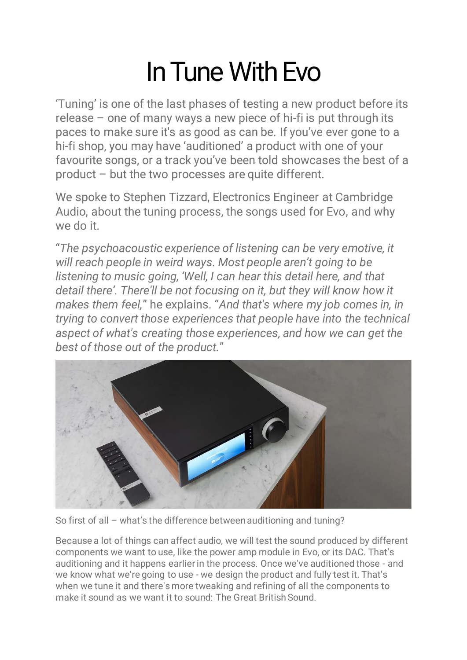## In Tune With Evo

'Tuning' is one of the last phases of testing a new product before its release – one of many ways a new piece of hi-fi is put through its paces to make sure it's as good as can be. If you've ever gone to a hi-fi shop, you may have 'auditioned' a product with one of your favourite songs, or a track you've been told showcases the best of a product – but the two processes are quite different.

We spoke to Stephen Tizzard, Electronics Engineer at Cambridge Audio, about the tuning process, the songs used for Evo, and why we do it.

"*The psychoacoustic experience of listening can be very emotive, it will reach people in weird ways. Most people aren't going to be listening to music going, 'Well, I can hear this detail here, and that detail there'. There'll be not focusing on it, but they will know how it makes them feel,*" he explains. "*And that's where my job comes in, in trying to convert those experiences that people have into the technical aspect of what's creating those experiences, and how we can get the best of those out of the product.*"



So first of all – what's the difference between auditioning and tuning?

Because a lot of things can affect audio, we will test the sound produced by different components we want to use, like the power amp module in Evo, or its DAC. That's auditioning and it happens earlier in the process. Once we've auditioned those - and we know what we're going to use - we design the product and fully test it. That's when we tune it and there's more tweaking and refining of all the components to make it sound as we want it to sound: The Great British Sound.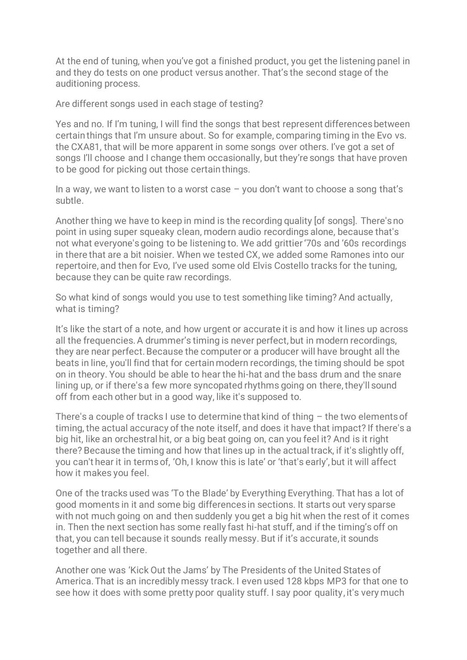At the end of tuning, when you've got a finished product, you get the listening panel in and they do tests on one product versus another. That's the second stage of the auditioning process.

Are different songs used in each stage of testing?

Yes and no. If I'm tuning, I will find the songs that best represent differences between certain things that I'm unsure about. So for example, comparing timing in the Evo vs. the CXA81, that will be more apparent in some songs over others. I've got a set of songs I'll choose and I change them occasionally, but they're songs that have proven to be good for picking out those certain things.

In a way, we want to listen to a worst case – you don't want to choose a song that's subtle.

Another thing we have to keep in mind is the recording quality [of songs]. There's no point in using super squeaky clean, modern audio recordings alone, because that's not what everyone's going to be listening to. We add grittier '70s and '60s recordings in there that are a bit noisier. When we tested CX, we added some Ramones into our repertoire, and then for Evo, I've used some old Elvis Costello tracks for the tuning, because they can be quite raw recordings.

So what kind of songs would you use to test something like timing? And actually, what is timing?

It's like the start of a note, and how urgent or accurate it is and how it lines up across all the frequencies. A drummer's timing is never perfect, but in modern recordings, they are near perfect. Because the computer or a producer will have brought all the beats in line, you'll find that for certain modern recordings, the timing should be spot on in theory. You should be able to hear the hi-hat and the bass drum and the snare lining up, or if there's a few more syncopated rhythms going on there, they'll sound off from each other but in a good way, like it's supposed to.

There's a couple of tracks I use to determine that kind of thing – the two elements of timing, the actual accuracy of the note itself, and does it have that impact? If there's a big hit, like an orchestral hit, or a big beat going on, can you feel it? And is it right there? Because the timing and how that lines up in the actual track, if it's slightly off, you can't hear it in terms of, 'Oh, I know this is late' or 'that's early', but it will affect how it makes you feel.

One of the tracks used was 'To the Blade' by Everything Everything. That has a lot of good moments in it and some big differences in sections. It starts out very sparse with not much going on and then suddenly you get a big hit when the rest of it comes in. Then the next section has some really fast hi-hat stuff, and if the timing's off on that, you can tell because it sounds really messy. But if it's accurate, it sounds together and all there.

Another one was 'Kick Out the Jams' by The Presidents of the United States of America. That is an incredibly messy track. I even used 128 kbps MP3 for that one to see how it does with some pretty poor quality stuff. I say poor quality, it's very much